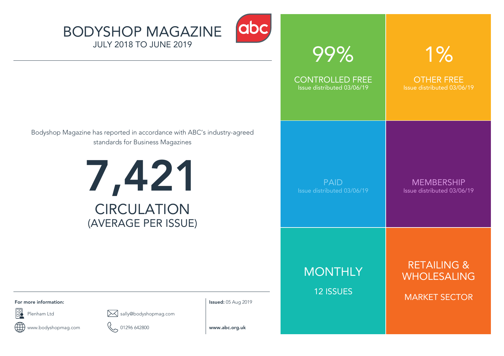



| 99%                                                  | 1%                                                                   |
|------------------------------------------------------|----------------------------------------------------------------------|
| <b>CONTROLLED FREE</b><br>Issue distributed 03/06/19 | <b>OTHER FREE</b><br>Issue distributed 03/06/19                      |
| <b>PAID</b><br>Issue distributed 03/06/19            | <b>MEMBERSHIP</b><br>Issue distributed 03/06/19                      |
| <b>MONTHLY</b><br><b>12 ISSUES</b>                   | <b>RETAILING &amp;</b><br><b>WHOLESALING</b><br><b>MARKET SECTOR</b> |

Bodyshop Magazine has reported in accordance with ABC's industry-agreed standards for Business Magazines



**For more information: Issued:** 05 Aug 2019

F3



www.bodyshopmag.com 01296 642800 **www.abc.org.uk** ÆÐ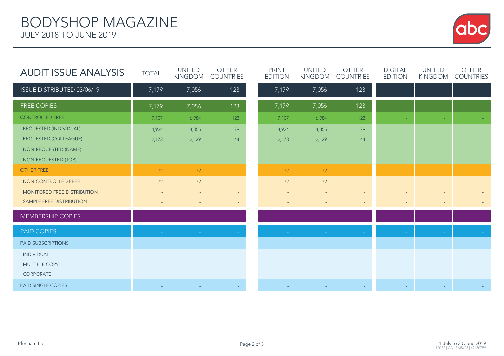

| <b>AUDIT ISSUE ANALYSIS</b>  | <b>TOTAL</b> | <b>UNITED</b><br>KINGDOM | <b>OTHER</b><br><b>COUNTRIES</b> | <b>PRINT</b><br><b>EDITION</b> | <b>UNITED</b><br><b>KINGDOM</b> | <b>OTHER</b><br><b>COUNTRIES</b> | <b>DIGITAL</b><br><b>EDITION</b> | <b>UNITED</b><br><b>KINGDOM</b> | <b>OTHER</b><br><b>COUNTRIES</b> |
|------------------------------|--------------|--------------------------|----------------------------------|--------------------------------|---------------------------------|----------------------------------|----------------------------------|---------------------------------|----------------------------------|
| ISSUE DISTRIBUTED 03/06/19   | 7,179        | 7,056                    | 123                              | 7,179                          | 7,056                           | 123                              |                                  | н                               |                                  |
| <b>FREE COPIES</b>           | 7,179        | 7,056                    | 123                              | 7,179                          | 7,056                           | 123                              | $\equiv$                         | $\overline{\phantom{a}}$        |                                  |
| <b>CONTROLLED FREE</b>       | 7,107        | 6,984                    | 123                              | 7,107                          | 6,984                           | 123                              |                                  |                                 |                                  |
| REQUESTED (INDIVIDUAL)       | 4,934        | 4,855                    | 79                               | 4,934                          | 4,855                           | 79                               | ٠                                | ٠                               |                                  |
| <b>REQUESTED (COLLEAGUE)</b> | 2,173        | 2,129                    | 44                               | 2,173                          | 2,129                           | 44                               | ٠                                | ÷                               |                                  |
| NON-REQUESTED (NAME)         | ٠            | $\sim$                   | ٠                                | ٠                              |                                 |                                  | ٠                                | $\sim$                          |                                  |
| NON-REQUESTED (JOB)          | $\sim$       | $\sim$                   |                                  | ÷                              | н.                              |                                  | ۰.                               | ٠                               |                                  |
| <b>OTHER FREE</b>            | 72           | 72                       | $\sim$                           | 72                             | 72                              | $\sim$                           | $\sim$                           | $\sim$                          |                                  |
| NON-CONTROLLED FREE          | 72           | 72                       | $\sim$                           | 72                             | 72                              | $\sim$                           | $\overline{\phantom{m}}$         | $\sim$                          |                                  |
| MONITORED FREE DISTRIBUTION  |              |                          | $\sim$                           | $\overline{\phantom{a}}$       |                                 |                                  |                                  |                                 |                                  |
| SAMPLE FREE DISTRIBUTION     |              | $\overline{\phantom{a}}$ | $\overline{\phantom{a}}$         |                                | $\sim$                          |                                  |                                  |                                 |                                  |
| <b>MEMBERSHIP COPIES</b>     |              |                          |                                  |                                |                                 |                                  |                                  |                                 |                                  |
| <b>PAID COPIES</b>           |              |                          |                                  |                                |                                 |                                  |                                  |                                 |                                  |
| <b>PAID SUBSCRIPTIONS</b>    |              |                          |                                  |                                |                                 |                                  |                                  |                                 |                                  |
| <b>INDIVIDUAL</b>            |              |                          |                                  |                                |                                 |                                  |                                  |                                 |                                  |
| MULTIPLE COPY                |              |                          | $\sim$                           |                                |                                 |                                  |                                  |                                 |                                  |
| CORPORATE                    |              |                          |                                  |                                |                                 |                                  |                                  |                                 |                                  |
| <b>PAID SINGLE COPIES</b>    |              |                          | ÷                                |                                |                                 |                                  |                                  |                                 |                                  |